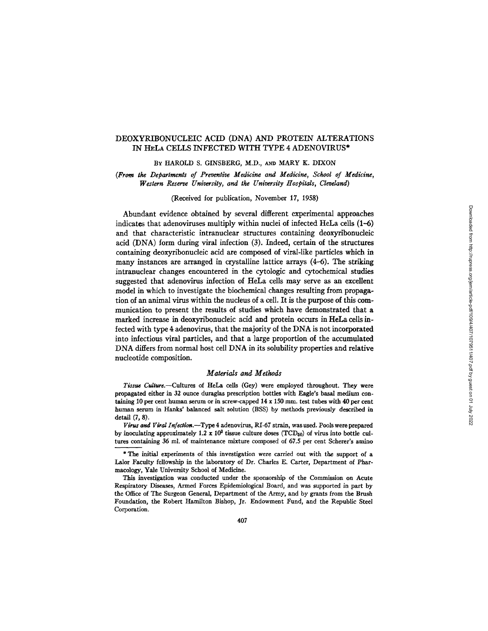# DEOXYRIBONUCLEIC ACID (DNA) AND PROTEIN ALTERATIONS IN HELA CELLS INFECTED WITH TYPE 4 ADENOVIRUS\*

BY HAROLD S. GINSBERG, M.D., AND MARY K. DIXON

*(From the Departments of Preventive Medicine and Medicine, School of Medicine, Western Reserve University, and the University Hospitals, Cleveland)* 

(Received for publication, November 17, 1958)

Abundant evidence obtained by several different experimental approaches indicates that adenoviruses multiply within nuclei of infected HeLa cells (1-6) and that characteristic intranuclear structures containing deoxyribonucleic acid (DNA) form during viral infection (3). Indeed, certain of the structures containing deoxyribonucleic acid are composed of viral-like particles which in many instances are arranged in crystalline lattice arrays  $(4-6)$ . The striking intranuclear changes encountered in the cytologic and cytochemical studies suggested that adenovirus infection of HeLa cells may serve as an excellent model in which to investigate the biochemical changes resulting from propagation of an animal virus within the nucleus of a cell. It is the purpose of this communication to present the results of studies which have demonstrated that a marked increase in deoxyribonucleic acid and protein occurs in HeLa cells infected with type 4 adenovirus, that the majority of the DNA is not incorporated into infectious viral particles, and that a large proportion of the accumulated DNA differs from normal host cell DNA in its solubility properties and relative nucleotide composition.

## *Materials and Methods*

Tissue Culture.--Cultures of HeLa cells (Gey) were employed throughout. They were propagated either in 32 ounce duraglas prescription bottles with Eagle's basal medium containing 10 per cent human serum or in screw-capped  $14 \times 150$  mm. test tubes with 40 per cent human serum in Hanks' balanced salt solution (BSS) by methods previously described in detail (7, 8).

*Virue and Viral Infection.--Type* 4 adenovirus, RI-67 strain, was used. Fools were prepared by inoculating approximately 1.2 x 10<sup>3</sup> tissue culture doses (TCD<sub>50</sub>) of virus into bottle cultures containing 36 ml. of maintenance mixture composed of 67.5 per cent Scherer's amino

This investigation was conducted under the sponsorship of the Commission on Acute Respiratory Diseases, Armed Forces Epidemiological Board, and was supported in part by the Office of The Surgeon General, Department of the Army, and by grants from the Brush Foundation, the Robert Hamilton Bishop, Jr. Endowment Fund, and the Republic Steel Corporation.

<sup>\*</sup> The initial experiments of this investigation were carried out with the support of a Lalor Faculty fellowship in the laboratory of Dr. Charles E. Carter, Department of Pharmacology, Yale University School of Medicine.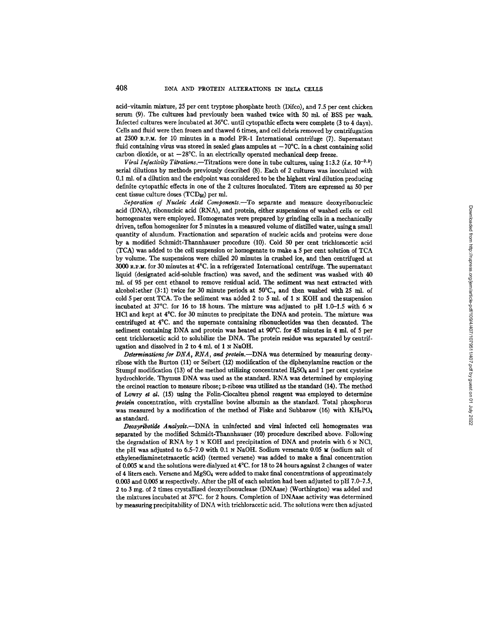acid-vitamin mixture, 25 per cent tryptose phosphate broth (Difco), and 7.5 per cent chicken serum (9). The cultures had previously been washed twice with 50 ml. of BSS per wash. Infected cultures were incubated at 36°C. until cytopathic effects were complete (3 to 4 days). Cells and fluid were then frozen and thawed 6 times, and cell debris removed by centrffugation at 2500 R.P.M. for 10 minutes in a model PR-1 International centrifuge (7). Superuatant fluid containing virus was stored in sealed glass ampules at  $-70^{\circ}$ C. in a chest containing solid carbon dioxide, or at  $-28^{\circ}$ C. in an electrically operated mechanical deep freeze.

*Viral Infectivity Titrations.*—Titrations were done in tube cultures, using 1:3.2 *(i.e.* 10<sup>-0.5</sup>) serial dilutions by methods previously described (8). Each of 2 cultures was inoculated with 0.1 ml. of a dilution and the endpoint was considered to be the highest viral dilution producing definite cytopathic effects in one of the 2 cultures inoculated. "liters are expressed as 50 per cent tissue culture doses (TCD<sub>50</sub>) per ml.

*Separation of Nucleic Acid Components.--To* separate and measure deoxyribonucleic acid (DNA), ribonucleic acid (RNA), and protein, either suspensions of washed cells or cell homogenates were employed. Homogenates were prepared by grinding cells in a mechanically driven, teflon homogenizer for 5 minutes in a measured volume of distilled water, using a small quantity of alundum. Fractionation and separation of nucleic acids and proteins were done by a modified Schmidt-Thannhauser procedure (10). Cold 50 per cent trichloracetic acid (TCA) was added to the cell suspension or homogenate to make a 5 per cent solution of TCA by volume. The suspensions were chilled 20 minutes in crushed ice, and then centrifuged at 3000 R.P.M. for 30 minutes at  $4^{\circ}$ C. in a refrigerated International centrifuge. The supernatant liquid (designated acid-soluble fraction) was saved, and the sediment was washed with 40 ml. of 95 per cent ethanol to remove residual acid. The sediment was next extracted with alcohol:ether (3:1) twice for 30 minute periods at 50°C., and then washed with 25 ml. of cold 5 per cent TCA. To the sediment was added 2 to 5 ml. of 1  $\ltimes$  KOH and the suspension incubated at 37°C. for 16 to 18 hours. The mixture was adjusted to pH 1.0-1.5 with 6 N HC1 and kept at 4°C. for 30 minutes to precipitate the DNA and protein. The mixture was centrifuged at  $4^{\circ}$ C. and the supernate containing ribonucleotides was then decanted. The sediment containing DNA and protein was heated at 90°C. for 45 minutes in 4 ml. of 5 per cent trichioracetic acid to solubilize the DNA. The protein residue was separated by centrifugation and dissolved in 2 to 4 ml. of 1  $\times$  NaOH.

Determinations for DNA, RNA, and protein.--DNA was determined by measuring deoxyribose with the Burton (11) or Seibert (12) modification of the dipbenyiamine reaction or the Stumpf modification (13) of the method utilizing concentrated  $H_2SO_4$  and 1 per cent cysteine hydrochloride. Thymus DNA was used as the standard. RNA was determined by employing the ordnol reaction to measure ribose; D-ribose was utilized as the standard (14). The method of Lowry et al. (15) using the Folin-Ciocalteu phenol reagent was employed to determine *protein* concentration, with crystalline bovine albumin as the standard. Total phosphorus was measured by a modification of the method of Fiske and Subbarow (16) with  $KH_2PO_4$ as standard.

*Deoxyribotkte Analysis.--DNA in* uninfected and viral infected cell homogenates was separated by the modified Schmidt-Thannhanser (10) procedure described above. Following the degradation of RNA by 1  $\le$  KOH and precipitation of DNA and protein with 6  $\le$  NCl, the pH was adjusted to  $6.5-7.0$  with  $0.1 \text{ NaOH}$ . Sodium versenate  $0.05 \text{ M}$  (sodium salt of ethylenediaminetetraacetic acid) (termed versene) was added to make a final concentration of 0.005  $\times$  and the solutions were dialyzed at 4°C. for 18 to 24 hours against 2 changes of water of 4 liters each. Versene and MgSO4 were added to make final concentrations of approximately 0.003 and 0.005  $\times$  respectively. After the pH of each solution had been adjusted to pH 7.0-7.5, 2 to 3 rag. of 2 times crystallized deoxyribonuclease (DNAase) (Worthington) was added and the mixtures incubated at 37°C. for 2 hours. Completion of DNAase activity was determined by measuring precipitability of DNA with trichloracetic acid. The solutions were then adjusted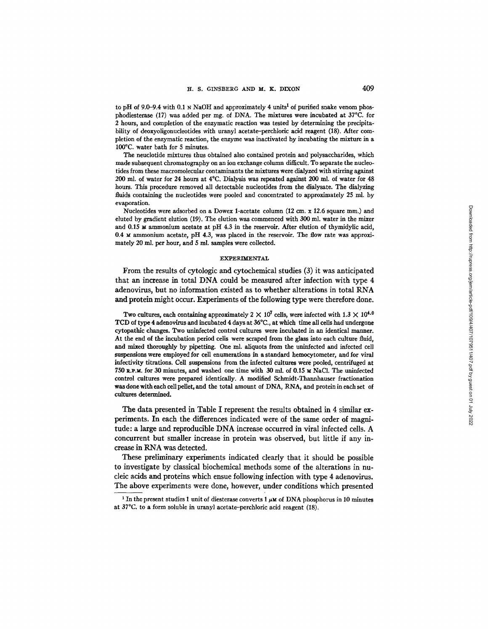to pH of 9.0-9.4 with 0.1 N NaOH and approximately 4 units<sup>1</sup> of purified snake venom phosphodiesterase (17) was added per mg. of DNA. The mixtures were incubated at 37°C. for 2 hours, and completion of the enzymatic reaction was tested by determining the precipitability of deoxyoligonucleotides with uranyl acetate-perchloric acid reagent (18). After completion of the enzymatic reaction, the enzyme was inactivated by incubating the mixture in a 100°C. water bath for 5 minutes.

The neuclotide mixtures thus obtained also contained protein and polysaccharides, which made subsequent chromatography on an ion exchange column difficult. To separate the nucleotides from these macromolecular contaminants the mixtures were dialyzed with stirring against 200 ml. of water for 24 hours at  $4^{\circ}$ C. Dialysis was repeated against 200 ml. of water for 48 hours. This procedure removed all detectable nucleotides from the dialysate. The dialyzing fluids containing the nucleotides were pooled and concentrated to approximately 25 ml. by evaporation.

Nucleotides were adsorbed on a Dowex 1-acetate column (12 cm. x 12.6 square mm.) and eluted by gradient elution (19). The elution was commenced with 300 ml. water in the mixer and 0.15  $\times$  ammonium acetate at pH 4.3 in the reservoir. After elution of thymidylic acid, 0.4  $\times$  ammonium acetate, pH 4.3, was placed in the reservoir. The flow rate was approximately 20 ml. per hour, and 5 ml. samples were collected.

### EXPERIMENTAL

From the results of cytologic and cytochemical studies (3) it was anticipated that an increase in total DNA could be measured after infection with type 4 adenovirus, but no information existed as to whether alterations in total RNA and protein might occur. Experiments of the following type were therefore done.

Two cultures, each containing approximately 2  $\times$  10<sup>7</sup> cells, were infected with 1.3  $\times$  10<sup>4.0</sup> TCD of type 4 adenovirus and incubated 4 days at 36°C., at which time all cells had undergone cytopathic changes. Two uninfected control cultures were incubated in an identical manner. At the end of the incubation period cells were scraped from the glass into each culture fluid, and mixed thoroughly by pipetting. One ml. aliquots from the uninfected and infected cell suspensions were employed for cell enumerations in a standard hemocytometer, and for viral infectivity titrations. Cell suspensions from the infected cultures were pooled, centrifuged at 750  $R.P.M.$  for 30 minutes, and washed one time with 30 ml. of 0.15  $M$  NaCl. The uninfected control cultures were prepared identically. A modified Schmidt-Thannhanser fractionation was done with each cell pellet, and the total amount of DNA, RNA, and protein in each set of cultures determined.

The data presented in Table I represent the results obtained in 4 similar experiments. **In each the differences indicated were of the same order of magnitude: a large and reproducible DNA increase occurred in viral infected cells. A concurrent but smaller increase in protein was observed, but little if any increase in RNA was detected.** 

**These preliminary experiments indicated clearly that it should be possible to investigate by classical biochemical methods some of the alterations in nucleic acids and proteins which ensue following infection with type 4 adenovirus.**  The above experiments were done, however, under conditions which presented

<sup>&</sup>lt;sup>1</sup> In the present studies 1 unit of diesterase converts 1  $\mu$ M of DNA phosphorus in 10 minutes at 37°C. to a form soluble in uranyl acetate-perchloric acid reagent (18).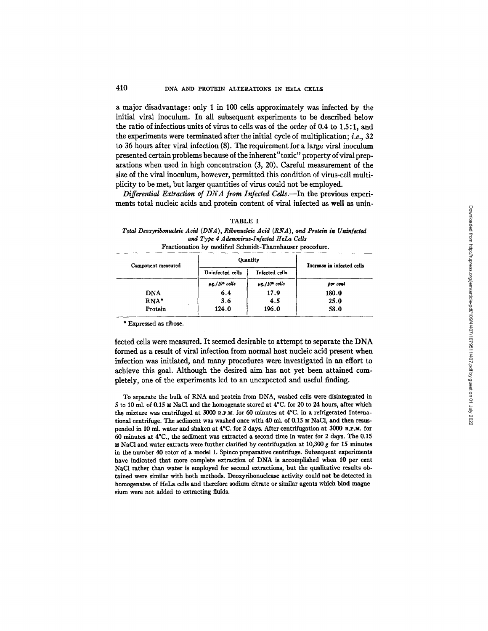# 410 DNA AND PROTEIN ALTERATIONS IN HELA CELLS

a major disadvantage: only I in 100 cells approximately was infected by the initial viral inoculum. In all subsequent experiments to be described below the ratio of infectious units of virus to cells was of the order of 0.4 to 1.5: I, and the experiments were terminated after the initial cycle of multiplication; i.e., 32 to 36 hours after viral infection (8). The requirement for a large viral inoculum presented certain problems because of the inherent "toxic" property of viral preparations when used in high concentration (3, 20). Careful measurement of the size of the viral inoculum, however, permitted this condition of virus-cell multiplicity to be met, but larger quantities of virus could not be employed.

*Differential Extraction of DNA from Infected Cells.*—In the previous experiments total nucleic acids and protein content of viral infected as well as unin-

|                    | Fractionation by modified Schmidt-Thannhauser procedure. |                                |                            |  |
|--------------------|----------------------------------------------------------|--------------------------------|----------------------------|--|
| Component measured |                                                          | Ouantity                       | Increase in infected cells |  |
|                    | Uninfected cells                                         | Infected cells                 |                            |  |
|                    | $\mu$ g./10 <sup>6</sup> cells                           | $\mu$ g./10 <sup>6</sup> cells | per cent                   |  |
| <b>DNA</b>         | 6.4                                                      | 17.9                           | 180.0                      |  |
| $RNA*$             | 3.6                                                      | 4.5                            | 25.0                       |  |
| Protein            | 124.0                                                    | 196.0                          | 58.0                       |  |

# TABLE I

*Total Deoxyribonudeic Acid (DNA), Ribonudeic Acid* (RNA), *and Protein in Uninfected and Type 4 Adenovirus-Infected HeLa Cells* 

\* Expressed as ribose.

fected cells were measured. It seemed desirable to attempt to separate the DNA formed as a result of viral infection from normal host nucleic acid present when infection was initiated, and many procedures were investigated in an effort to achieve this goal. Although the desired aim has not yet been attained completely, one of the experiments led to an unexpected and useful finding.

To separate the bulk of RNA and protein from DNA, washed cells were disintegrated in 5 to 10 ml. of 0.15  $\texttt{M}$  NaCl and the homogenate stored at 4°C. for 20 to 24 hours, after which the mixture was centrifuged at 3000 R.p.u. for 60 minutes at 4°C. in a refrigerated International centrifuge. The sediment was washed once with  $40$  ml. of  $0.15 \text{ m NaCl}$ , and then resuspended in 10 ml. water and shaken at 4°C. for 2 days. After centrifugafion at 3000 R.P.x. for 60 minutes at 4~C., the sediment was extracted a second time in water for 2 days. The 0.15 M NaCl and water extracts were further clarified by centrifugation at 10,300 g for 15 minutes in the number 40 rotor of a model L Spinco preparative centrifuge. Subsequent experiments have indicated that more complete extraction of DNA is accomplished when 10 per cent NaCl rather than water is employed for second extractions, but the qualitative results obtained were similar with both methods. Deoxyribonuclease activity could not be detected in homogenates of HeLa cells and therefore sodium citrate or similar agents which bind magnesium were not added to extracting fluids.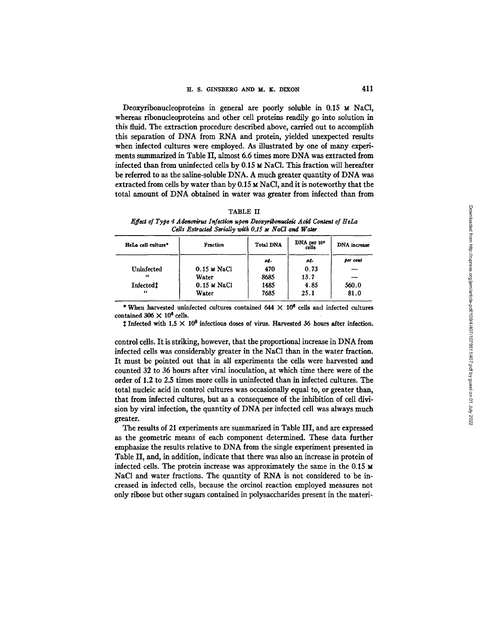Deoxyribonucleoproteins in general are poorly soluble in 0.15 M NaCI, whereas ribonucleoproteins and other cell proteins readily go into solution in this fluid. The extraction procedure described above, carried out to accomplish this separation of DNA from RNA and protein, yielded unexpected results when infected cultures were employed. As illustrated by one of many experiments summarized in Table II, almost 6.6 times more DNA was extracted from infected than from uninfected cells by 0.15  $\times$  NaCl. This fraction will hereafter be referred to as the saline-soluble DNA. A much greater quantity of DNA was extracted from cells by water than by  $0.15 ~M$  NaCl, and it is noteworthy that the total amount of DNA obtained in water was greater from infected than from

| г<br>н<br>n<br>un<br>. . |  |
|--------------------------|--|
|--------------------------|--|

*Effect of Type 4 Adenovirus Infection upon Deoxyribonucleic Acid Content of HeLa* Cells Extracted Serially with 0.15  $\mu$  NaCl and Water

| HeLa cell culture* | Fraction              | <b>Total DNA</b> | DNA per 10 <sup>6</sup><br>cells | DNA increase |
|--------------------|-----------------------|------------------|----------------------------------|--------------|
|                    |                       | μg.              | pg.                              | per cent     |
| Uninfected         | $0.15 \text{ m NaCl}$ | 470              | 0.73                             |              |
| "                  | Water                 | 8685             | 13.7                             |              |
| <b>Infected</b>    | $0.15 \times$ NaCl    | 1485             | 4.85                             | 560.0        |
| $\epsilon$         | Water                 | 7685             | 25.1                             | 81.0         |

\* When harvested uninfected cultures contained 644  $\times$  10<sup>6</sup> cells and infected cultures contained 306  $\times$  10<sup>6</sup> cells.

 $\ddagger$  Infected with 1.5  $\times$  10<sup>8</sup> infectious doses of virus. Harvested 36 hours after infection.

control cells. It is striking, however, that the proportional increase in DNA from infected cells was considerably greater in the NaCI than in the water fraction. It must be pointed out that in all experiments the cells were harvested and counted 32 to 36 hours after viral inoculation, at which time there were of the order of 1.2 to 2.5 times more cells in uninfected than in infected cultures. The total nucleic acid in control cultures was occasionally equal to, or greater than, that from infected cultures, but as a consequence of the inhibition of cell division by viral infection, the quantity of DNA per infected cell was always much greater.

The results of 21 experiments are summarized in Table III, and are expressed as the geometric means of each component determined. These data further emphasize the results relative to DNA from the single experiment presented in Table II, and, in addition, indicate that there was also an increase in protein of infected cells. The protein increase was approximately the same in the  $0.15 \text{ m}$ NaCI and water fractions. The quantity of RNA is not considered to be increased in infected cells, because the orcinol reaction employed measures not only ribose but other sugars contained in polysaccharides present in the materi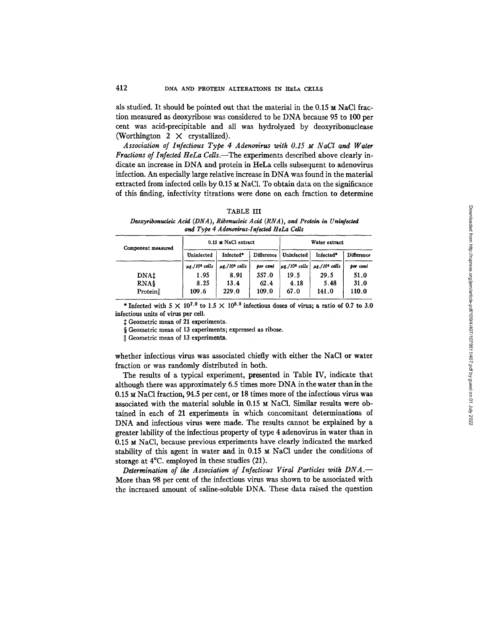als studied. It should be pointed out that the material in the  $0.15 \times$  NaCl fraction measured as deoxyribose was considered to be DNA because 95 to 100 per cent was acid-precipitable and all was hydrolyzed by deoxyribonuclease (Worthington 2  $\times$  crystallized).

Association of Infectious Type 4 Adenovirus with 0.15  $\mu$  NaCl and Water *Fractions of Infected HeLa Cells.*—The experiments described above clearly indicate an increase in DNA and protein in HeLa cells subsequent to adenovirus infection. An especially large relative increase in DNA was found in the material extracted from infected cells by  $0.15 ~M$  NaCl. To obtain data on the significance of this finding, infectivity titrations were done on each fraction to determine

| TABLE | ш |
|-------|---|
|       |   |

*Deoxyribonucleic Acid (DNA ), Ribonudeic Acid (RNA ), and Protein in Uninfected and Type 4 Aden.virus-Infected HeLa Cells* 

| Component measured | 0.15 M NaCl extract            |                                | Water extract |            |                                                                 |            |
|--------------------|--------------------------------|--------------------------------|---------------|------------|-----------------------------------------------------------------|------------|
|                    | Uninfected                     | Infected*                      | Difference    | Uninfected | Infected*                                                       | Difference |
|                    | $\mu$ g./10 <sup>6</sup> cells | $\mu$ g./10 <sup>s</sup> cells | per cent      |            | $ \mu$ g./10 <sup>6</sup> cells $ \mu$ g./10 <sup>6</sup> cells | ber cent   |
| DNAt               | 1.95                           | 8.91                           | 357.0         | 19.5       | 29.5                                                            | 51.0       |
| RNA\$              | 8.25                           | 13.4                           | 62.4          | 4.18       | 5.48                                                            | 31.0       |
| Protein            | 109.6                          | 229.0                          | 109.0         | 67.0       | 141.0                                                           | 110.0      |

\* Infected with  $5 \times 10^{7.0}$  to  $1.5 \times 10^{8.0}$  infectious doses of virus; a ratio of 0.7 to 3.0 infectious units of virus per cell.

Geometric mean of 21 experiments.

§ Geometric mean of 13 experiments; expressed as ribose.

|| Geometric mean of 13 experiments.

whether infectious virus was associated chiefly with either the NaCI or water fraction or was randomly distributed in both.

The results of a typical experiment, presented in Table IV, indicate that although there was approximately 6.5 times more DNA in the water than in the  $0.15$  M NaCl fraction, 94.5 per cent, or 18 times more of the infectious virus was associated with the material soluble in  $0.15 \times$  NaCl. Similar results were obtained in each of 21 experiments in which concomitant determinations of DNA and infectious virus were made. The results cannot be explained by a greater lability of the infectious property of type 4 adenovirus in water than in 0.15 M NaC1, because previous experiments have clearly indicated the marked stability of this agent in water and in  $0.15 \times$  NaCl under the conditions of storage at 4°C. employed in these studies (21).

*Determination of the Association of Infectious Viral Particles witk DNA.--*  More than 98 per cent of the infectious virus was shown to be associated with the increased amount of saline-soluble DNA. These data raised the question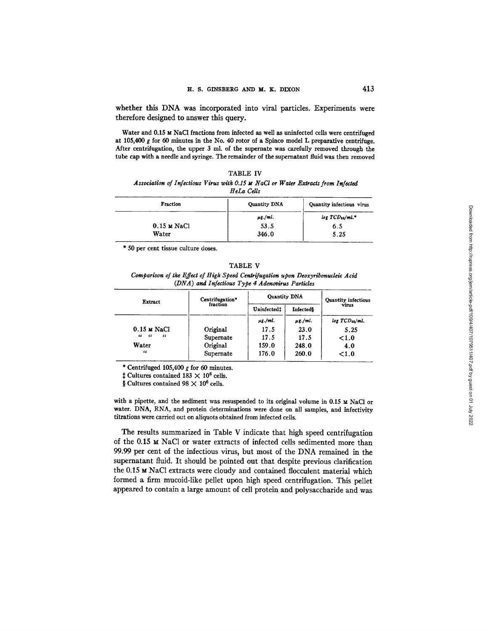whether this DNA was incorporated into viral particles. Experiments were therefore designed to answer this query.

Water and 0.15 M NaCl fractions from infected as well as uninfected cells were centrifuged at 105,400 g for 60 minutes in the No. 40 rotor of a Spinco model L preparative centrifuge. After centrifugation, the upper 3 ml. of the supernate was carefully removed through the tube cap with a needle and syringe. The remainder of the supernatant fluid was then removed

| TABLE IV                                                                         |  |
|----------------------------------------------------------------------------------|--|
| Association of Infectious Virus with 0.15 M NaCl or Water Extracts from Infected |  |
| HeLa Cells                                                                       |  |

| Fraction      | Quantity DNA | Quantity infectious virus |
|---------------|--------------|---------------------------|
|               | $\mu$ g./ml. | $log~TCD_{10}/ml.$ *      |
| $0.15$ M NaCl | 53.5         | 6.5                       |
| Water         | 346.0        | 5.25                      |

\* 50 per cent tissue culture doses.

### TABLE V

*Comparison of the Effect of High Speed Centrifugation upon Deoxyribonucleic Acid (DNA) and Infectious Type 4 Adenovirus Particles* 

| Extract              | Centrifugation* | Quantity DNA |                  | Quantity infectious        |  |
|----------------------|-----------------|--------------|------------------|----------------------------|--|
|                      | fraction        | Uninfectedt  | <b>Infecteds</b> | virus                      |  |
|                      |                 | $\mu g$ /ml. | $\mu$ g./ml.     | log TCD <sub>50</sub> /ml. |  |
| $0.15 \times$ NaCl   | Original        | 17.5         | 23.0             | 5.25                       |  |
| "<br>$\epsilon$<br>" | Supernate       | 17.5         | 17.5             | ${<}1.0$                   |  |
| Water                | Original        | 159.0        | 248.0            | 4.0                        |  |
| 36                   | Supernate       | 176.0        | 260.0            | ${<}1.0$                   |  |

\* Centrifuged 105,400  $g$  for 60 minutes.

 $\ddagger$  Cultures contained 183  $\times$  10<sup>6</sup> cells.

§ Cultures contained 98  $\times$  10<sup>6</sup> cells.

with a pipette, and the sediment was resuspended to its original volume in 0.15  $\times$  NaCl or water. DNA, RNA, and protein determinations were done on all samples, and infectivity titrations were carried out on allquots obtained from infected cells.

The results summarized in Table V indicate that high speed centrifugation of the 0.15 M NaC1 or water extracts of infected cells sedimented more than 99.99 per cent of the infectious virus, but most of the DNA remained in the supernatant fluid. It should be pointed out that despite previous clarification the 0.15 M NaC1 extracts were cloudy and contained flocculent material which formed a firm mucoid-like pellet upon high speed centrifugation. This pellet appeared to contain a large amount of cell protein and polysaccharide and was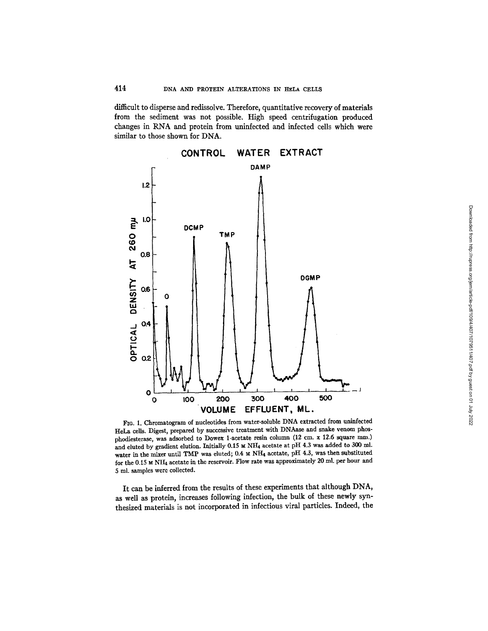difficult to disperse and redissolve. Therefore, quantitative recovery of materials from the sediment was not possible. High speed centrifugation produced changes in RNA and protein from uninfected and infected cells which were similar to those shown for DNA.



FIG. 1. Chromatogram of nucleotides from water-soluble DNA extracted from uninfected HeLa cells. Digest, prepared by successive treatment with DNAase and snake venom phosphodiesterase, was adsorbed to Dowex 1-acetate resin column (12 cm. x 12.6 square mm.) and eluted by gradient elution. Initially  $0.15 \text{ m}$  NH<sub>4</sub> acetate at pH 4.3 was added to 300 ml. water in the mixer until TMP was eluted; 0.4  $\times$  NH<sub>4</sub> acetate, pH 4.3, was then substituted for the 0.15  $\times$  NH<sub>4</sub> acetate in the reservoir. Flow rate was approximately 20 ml. per hour and 5 ml. samples were collected,

It can be inferred from the results of these experiments that although DNA, as well as protein, increases following infection, the bulk of these newly synthesized materials is not incorporated in infectious viral particles. Indeed, the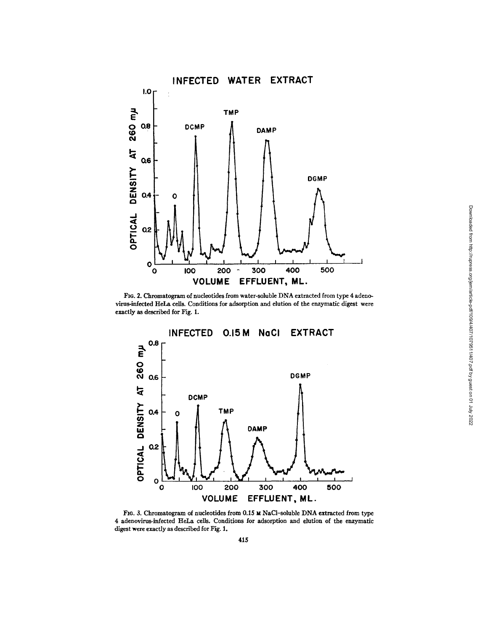

FIG. 2. Chromatogram of nucleotides from water-soluble DNA extracted from type 4 adenovirus-infected HeLa cells. Conditions for adsorption and elution of the enzymatic digest were exactly as described for Fig. 1.



FIG. 3. Chromatogram of nucleotides from 0.15 M NaCl-soluble DNA extracted from type 4 adenovirus-infected HeLa cells. Conditions for adsorption and elution of the enzymatic digest were exactly as described for Fig. 1.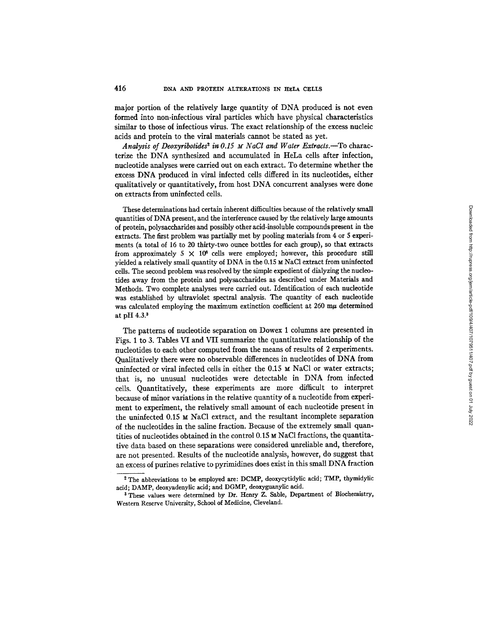major portion of the relatively large quantity of DNA produced is not even formed into non-infectious viral particles which have physical characteristics similar to those of infectious virus. The exact relationship of the excess nucleic acids and protein to the viral materials cannot be stated as yet.

Analysis of Deoxyribotides<sup>2</sup> in 0.15  $\mu$  NaCl and Water Extracts.-To characterize the DNA synthesized and accumulated in HeLa cells after infection, nucleotide analyses were carried out on each extract. To determine whether the excess DNA produced in viral infected cells differed in its nucleotides, either qualitatively or quantitatively, from host DNA concurrent analyses were done on extracts from uninfected cells.

These determinations had certain inherent difficulties because of the relatively small quantities of DNA present, and the interference caused by the relatively large amounts of protein, polysaccharides and possibly other acid-insoluble compounds present in the extracts. The first problem was partially met by pooling materials from 4 or 5 experiments (a total of 16 to 20 thirty-two ounce bottles for each group), so that extracts from approximately 5  $\times$  10<sup>8</sup> cells were employed; however, this procedure still yielded a relatively small quantity of DNA in the  $0.15 ~M$  NaCl extract from uninfected ceils. The second problem was resolved by the simple expedient of dialyzing the nucleotides away from the protein and polysaccharides as described under Materials and Methods. Two complete analyses were carried out. Identification of each nucleotide was established by ultraviolet spectral analysis. The quantity of each nucleotide was calculated employing the maximum extinction coefficient at  $260 \text{ m}\mu$  determined at pH 4.3.<sup>3</sup>

The patterns of nucleotide separation on Dowex 1 columns are presented in Figs. 1 to 3. Tables VI and VII summarize the quantitative relationship of the nucleotides to each other computed from the means of results of 2 experiments. Qualitatively there were no observable differences in nucleotides of DNA from uninfected or viral infected cells in either the 0.15 M NaC1 or water extracts; that is, no unusual nucleotides were detectable in DNA from infected cells. Quantitatively, these experiments are more difficult to interpret because of minor variations in the relative quantity of a nucleotide from experiment to experiment, the relatively small amount of each nucleotide present in the uninfected 0.15 M NaC1 extract, and the resultant incomplete separation of the nucleotides in the saline fraction. Because of the extremely small quantities of nucleotides obtained in the control  $0.15 \times$  NaCl fractions, the quantitative data based on these separations were considered unreliable and, therefore, are not presented. Results of the nucleotide analysis, however, do suggest that an excess of purines relative to pyrimidines does exist in this small DNA fraction

<sup>&</sup>lt;sup>2</sup> The abbreviations to be employed are: DCMP, deoxycytidylic acid; TMP, thymidylic acid; DAMP, deoxyadenylic acid; and DGMP, deoxyguanylic acid.

<sup>3</sup> These values were determined by Dr. Henry Z. Sable, Department of Biochemistry, Western Reserve University, School of Medicine, Cleveland.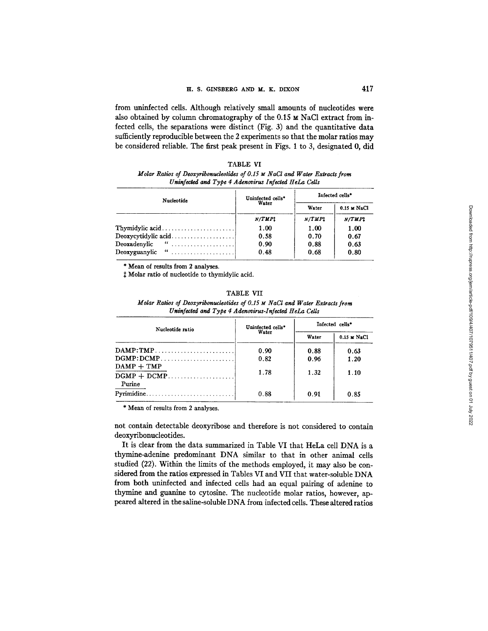from uninfected cells. Although relatively small amounts of nucleotides were also obtained by column chromatography of the 0.15 M NaCl extract from infected cells, the separations were distinct (Fig. 3) and the quantitative data sufficiently reproducible between the 2 experiments so that the molar ratios may be considered reliable. The first peak present in Figs. 1 to 3, designated 0, did

| 'A RI |  |
|-------|--|
|-------|--|

*Molar Ratios of Deoxyribonucleotides of 0.15 ~ NaCI and Water Extracts from Uninfected and Type 4 Adenovirus Infected HeLa Cells* 

| Nucleotide               | Uninfected cells*<br>Water | Infected cells* |             |
|--------------------------|----------------------------|-----------------|-------------|
|                          |                            | Water           | 0.15 M NaCl |
|                          | N/TMP1                     | N/TMPt          | N/TMPt      |
|                          | 1.00                       | 1.00            | 1.00        |
|                          | 0.58                       | 0.70            | 0.67        |
| Deoxadenvlic " $\ldots$  | 0.90                       | 0.88            | 0.63        |
| Deoxyguanylic " $\ldots$ | 0.48                       | 0.68            | 0.80        |

**\*** Mean of results from 2 analyses.

 $$$  Molar ratio of nucleotide to thymidylic acid.

## TABLE VII

| Molar Ratios of Deoxyribonucleotides of 0.15 M NaCl and Water Extracts from |
|-----------------------------------------------------------------------------|
| Uninfected and Type 4 Adenovirus-Infected HeLa Cells                        |
|                                                                             |

| Nucleotide ratio       | Uninfected cells*<br>Water | Infected cells <sup>®</sup> |             |  |
|------------------------|----------------------------|-----------------------------|-------------|--|
|                        |                            | Water                       | 0.15 M NaCl |  |
| $\mathbf{DAMP}$ : TMP  | 0.90                       | 0.88                        | 0.63        |  |
| $DGMP:DCMP$            | 0.82                       | 0.96                        | 1.20        |  |
| $DAMP + TMP$<br>Purine | 1.78                       | 1.32                        | 1.10        |  |
|                        | 0.88                       | 0.91                        | 0.85        |  |

\* Mean of results from 2 analyses.

not contain detectable deoxyribose and therefore is not considered to contain deoxyribonucleotides.

It is clear from the data summarized in Table VI that HeLa cell DNA is a thymine-adenine predominant DNA similar to that in other animal cells studied (22). Within the limits of the methods employed, it may also be considered from the ratios expressed in Tables VI and VII that water-soluble DNA from both uninfected and infected cells had an equal pairing of adenine to thymine and guanine to cytosine. The nucleotide molar ratios, however, appeared altered in the saline-soluble DNA from infected cells. These altered ratios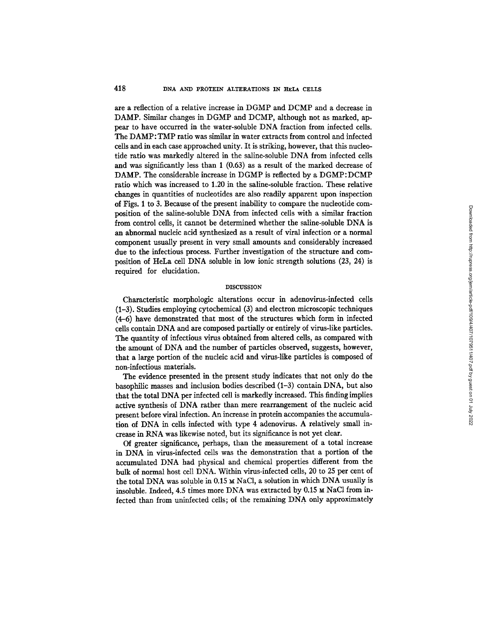are a reflection of a relative increase in DGMP and DCMP and a decrease in DAMP. Similar changes in *DGMP* and DCMP, although not as marked, appear to have occurred in the water-soluble DNA fraction from infected cells. The DAMP:TMP ratio was similar in water extracts from control and infected cells and in each case approached unity. It is striking, however, that this nucleotide ratio was markedly altered in the saline-soluble DNA from infected cells and was significantly less than 1 (0.63) as a result of the marked decrease of DAMP. The considerable increase in DGMP is reflected by a DGMP:DCMP ratio which was increased to 1.20 in the saline-soluble fraction. These relative changes in quantities of nucleotides are also readily apparent upon inspection of Figs. 1 to 3. Because of the present inability to compare the nucleotide composition of the saline-soluble DNA from infected cells with a similar fraction from control cells, it cannot be determined whether the saline-soluble DNA is an abnormal nucleic acid synthesized as a result of viral infection or a normal component usually present in very small amounts and considerably increased due to the infectious process. Further investigation of the structure and composition of HeLa cell DNA soluble in low ionic strength solutions (23, 24) is required for elucidation.

#### DISCUSSION

Characteristic morphologic alterations occur in adenovirus-infected cells (1-3). Studies employing cytochemical (3) and electron microscopic techniques (4-6) have demonstrated that most of the structures which form in infected cells contain DNA and are composed partially or entirely of virus-like particles. The quantity of infectious virus obtained from altered cells, as compared with the amount of DNA and the number of particles observed, suggests, however, that a large portion of the nucleic acid and virus-like particles is composed of non-infectious materials.

The evidence presented in the present study indicates that not only do the basophilic masses and inclusion bodies described (1-3) contain DNA, but also that the total DNA per infected cell is markedly increased. This finding implies active synthesis of DNA rather than mere rearrangement of the nucleic acid present before viral infection. An increase in protein accompanies the accumulation of DNA in cells infected with type 4 adenovirus. A relatively small increase in RNA was likewise noted, but its significance is not yet clear.

Of greater significance, perhaps, than the measurement of a total increase in DNA in virus-infected cells was the demonstration that a portion of the accumulated DNA had physical and chemical properties different from the bulk of normal host cell DNA. Within virus-infected cells, 20 to 25 per cent of the total DNA was soluble in 0.15  $\times$  NaCl, a solution in which DNA usually is insoluble. Indeed, 4.5 times more DNA was extracted by 0.15 M NaC1 from infected than from uninfected cells; of the remaining DNA only approximately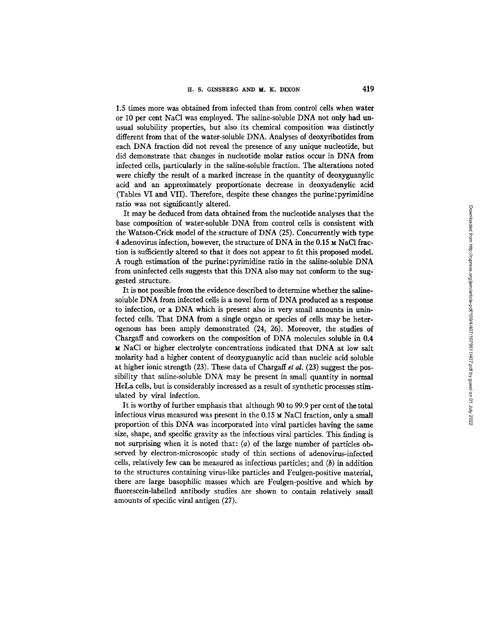1.5 times more was obtained from infected than from control cells when water or 10 per cent NaC1 was employed. The saline-soluble DNA not only had unusual solubility properties, but also its chemical composition was distinctly different from that of the water-soluble DNA. Analyses of deoxyribotides from each DNA fraction did not reveal the presence of any unique nucleotide, but did demonstrate that changes in nucleotide molar ratios occur in DNA from infected cells, particularly in the saline-soluble fraction. The alterations noted were chiefly the result of a marked increase in the quantity of deoxyguanylic acid and an approximately proportionate decrease in deoxyadenylic acid (Tables VI and VII). Therefore, despite these changes the purine:pyrimidine ratio was not significantly altered.

It may be deduced from data obtained from the nucleotide analyses that the base composition of water-soluble DNA from control cells is consistent with the Watson-Crick model of the structure of DNA (25). Concurrently with type 4 adenovirus infection, however, the structure of DNA in the 0.15 M NaCI fraction is sufficiently altered so that it does not appear to fit this proposed model. A rough estimation of the purine:pyrimidine ratio in the saline-soluble DNA from uninfected cells suggests that this DNA also may not conform to the suggested structure.

It is not possible from the evidence described to determine whether the salinesoluble DNA from infected cells is a novel form of DNA produced as a response to infection, or a DNA which is present also in very small amounts in uninfected cells. That DNA from a single organ or species of cells may be heterogenons has been amply demonstrated (24, 26). Moreover, the studies of Chargaff and coworkers on the composition of DNA molecules soluble in 0.4 M NaCI or higher electrolyte concentrations indicated that DNA at low salt molarity had a higher content of deoxyguanylic acid than nucleic acid soluble at higher ionic strength (23). These data of Chargaff *et al.* (23) suggest the possibility that saline-soluble DNA may be present in small quantity in normal HeLa cells, but is considerably increased as a result of synthetic processes stimulated by viral infection.

It is worthy of further emphasis that although 90 to 99.9 per cent of the total infectious virus measured was present in the 0.15 M NaCI fraction, only a small proportion of this DNA was incorporated into viral particles having the same size, shape, and specific gravity as the infectious viral particles. This finding is not surprising when it is noted that: (a) of the large number of particles observed by electron-microscopic study of thin sections of adenovirus-infected cells, relatively few can be measured as infectious particles; and  $(b)$  in addition to the structures containing virus-like particles and Feulgen-positive material, there are large basophilic masses which are Feulgen-positive and which by fluorescein-labelled antibody studies are shown to contain relatively small amounts of specific viral antigen (27).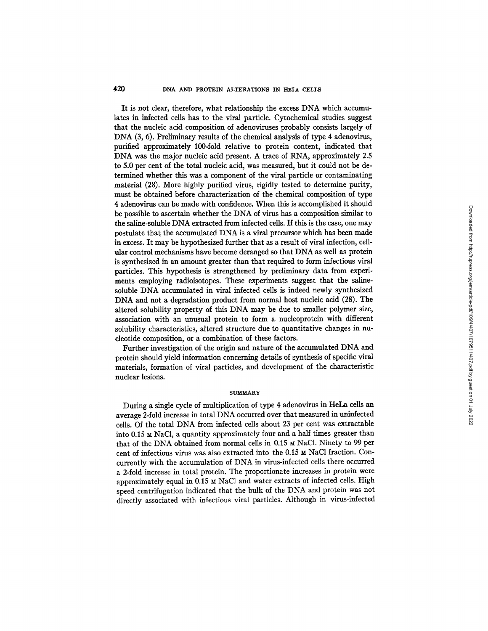## **420 DNA AND** PROTEIN ALTERATIONS IN HELA CELLS

It is not clear, therefore, what relationship the excess DNA which accumulates in infected cells has to the viral particle. Cytochemical studies suggest that the nucleic acid composition of adenoviruses probably consists largely of DNA (3, 6). Preliminary results of the chemical analysis of type 4 adenovirus, purified approximately 100-fold relative to protein content, indicated that DNA was the major nucleic acid present. A trace of RNA, approximately 2.5 to 5.0 per cent of the total nucleic acid, was measured, but it could not be determined whether this was a component of the viral particle or contaminating material (28). More highly purified virus, rigidly tested to determine purity, must be obtained before characterization of the chemical composition of type 4 adenovirus can be made with confidence. When this is accomplished it should be possible to ascertain whether the DNA of virus has a composition similar to the saline-soluble DNA extracted from infected cells. If this is the case, one may postulate that the accumulated DNA is a viral precursor which has been made in excess. It may be hypothesized further that as a result of viral infection, cellular control mechanisms have become deranged so that DNA as well as protein is synthesized in an amount greater than that required to form infectious viral particles. This hypothesis is strengthened by preliminary data from experiments employing radioisotopes. These experiments suggest that the salinesoluble DNA accumulated in viral infected cells is indeed newly synthesized DNA and not a degradation product from normal host nucleic acid (28). The altered solubility property of this DNA may be due to smaller polymer size, association with an unusual protein to form a nucleoprotein with different solubility characteristics, altered structure due to quantitative changes in nucleotide composition, or a combination of these factors.

Further investigation of the origin and nature of the accumulated DNA and protein should yield information concerning details of synthesis of specific viral materials, formation of viral particles, and development of the characteristic nuclear lesions.

#### **SUMMARY**

During a single cycle of multiplication of type 4 adenovirus in HeLa cells an average 2-fold increase in total DNA occurred over that measured in uninfected cells. Of the total DNA from infected cells about 23 per cent was extractable into 0.15  $\text{M}$  NaCl, a quantity approximately four and a half times greater than that of the DNA obtained from normal cells in 0.15  $\mu$  NaCl. Ninety to 99 per cent of infectious virus was also extracted into the  $0.15 ~M$  NaCl fraction. Concurrently with the accumulation of DNA in virus-infected cells there occurred a 2-fold increase in total protein. The proportionate increases in protein were approximately equal in 0.15  $\times$  NaCl and water extracts of infected cells. High speed centrifugation indicated that the bulk of the DNA and protein was not directly associated with infectious viral particles. Although in virus-infected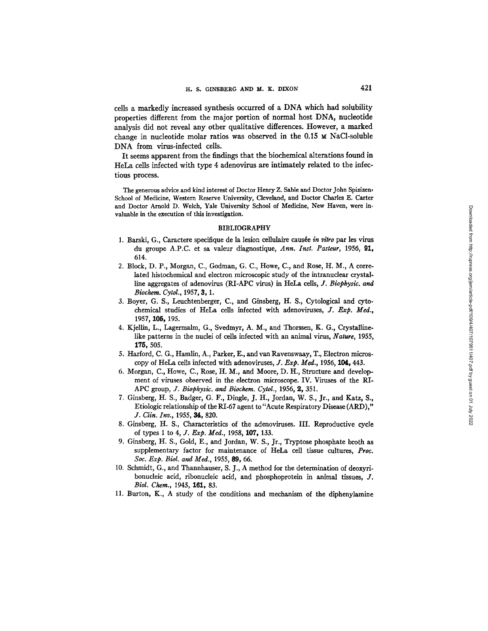cells a markedly increased synthesis occurred of a DNA which had solubility properties different from the major portion of normal host DNA, nucleotide analysis did not reveal any other qualitative differences. However, a marked change in nucleotide molar ratios was observed in the  $0.15 ~M$  NaCl-soluble DNA from virus-infected cells.

It seems apparent from the findings that the biochemical alterations found in HeLa cells infected with type 4 adenovirus are intimately related to the infectious process.

The generous advice and kind interest of Doctor Henry Z. Sable and Doctor John Spizizen, School of Medicine, Western Reserve University, Cleveland, and Doctor Charles E. Carter and Doctor Arnold D. Welch, Yale University School of Medicine, New Haven, were invaluable in the execution of this investigation.

## BIBLIOGRAPHY

- 1. Barski, G., Caractere specifique de la lesion cellulaire causée *in vitro* par les virus du groupe A.P.C. et sa valeur diagnostique, *Ann. Inst. Pasteur,* 1956, 91, 614.
- 2. Block, D. P., Morgan, C., Godman, G. C., Howe, C., and Rose, H. M., A correlated histochemical and electron microscopic study of the intranuclear crystalline aggregates of adenovirus (RI-APC virus) in HeLa cells, *J. Biophysic. and Biochem. Cytol.,* 1957, 3, 1.
- 3. Boyer, G. S., Leuchtenberger, C., and Ginsberg, H. S., Cytological and cytochemical studies of HeLa cells infected with adenoviruses, *J. Exp. Med.,*  1957, 105, 195.
- 4. Kjellin, L., Lagerrnalm, G., Svedmyr, A. M., and Thorssen, K. G., Crystallinelike patterns in the nuclei of cells infected with an animal virus, *Nature,* 1955, 175, 505.
- 5. Harford, C. G., Hamlin, A., Parker, E., and van Ravenswaay, T., Electron microscopy of HeLa cells infected with adenoviruses, *J. Exp. Med.,* 1956, 104, 443.
- 6. Morgan, C., Howe, C., Rose, H. M., and Moore, D. H., Structure and development of viruses observed in the dectron microscope. IV. Viruses of the RI-APC group, *J. Biophysic. and Biochem. Cytol.,* 1956, 2, 351.
- 7. Ginsberg, H. S., Badger, G. F., Dingle, J. H., Jordan, W. S., Jr., and Katz, S., Etiologic relationship of the RI-67 agent to"Acute Respiratory Disease (ARD)," *J. Clin. Inv.,* 1955, 34, 820.
- 8. Ginsberg, H. S., Characteristics of the adenoviruses. III. Reproductive cycle of types 1 to 4, *J. Exp. Med.*, 1958, 107, 133.
- 9. Ginsberg, H. S., Gold, E., and Jordan, W. S., Jr., Tryptose phosphate broth as supplementary, factor for maintenance of HeLa cell tissue cultures, *Proc. Soc. Exp. Biol. and Med.,* 1955, 89, 66.
- 10. Schmidt, G., and Thannhauser, S. J., A method for the determination of deoxyribonucleic acid, ribonucleic acid, and phosphoprotein in animal tissues, J. *Biol. Chem.,* 1945, 161, 83.
- 11. Burton, K., A study of the conditions and mechanism of the diphenylamine